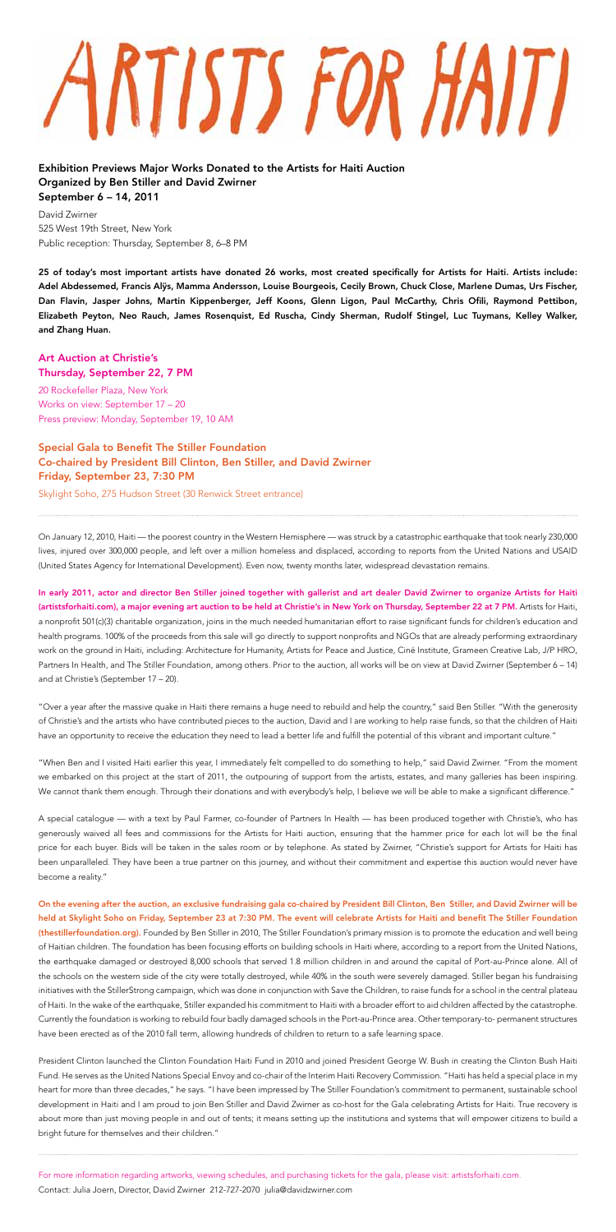## ARTISTS FOR HAITI

Exhibition Previews Major Works Donated to the Artists for Haiti Auction Organized by Ben Stiller and David Zwirner September 6 – 14, 2011

David Zwirner 525 West 19th Street, New York Public reception: Thursday, September 8, 6–8 PM

25 of today's most important artists have donated 26 works, most created specifically for Artists for Haiti. Artists include: Adel Abdessemed, Francis Alÿs, Mamma Andersson, Louise Bourgeois, Cecily Brown, Chuck Close, Marlene Dumas, Urs Fischer, Dan Flavin, Jasper Johns, Martin Kippenberger, Jeff Koons, Glenn Ligon, Paul McCarthy, Chris Ofili, Raymond Pettibon, Elizabeth Peyton, Neo Rauch, James Rosenquist, Ed Ruscha, Cindy Sherman, Rudolf Stingel, Luc Tuymans, Kelley Walker, and Zhang Huan.

## Art Auction at Christie's Thursday, September 22, 7 PM

20 Rockefeller Plaza, New York Works on view: September 17 – 20 Press preview: Monday, September 19, 10 AM

## Special Gala to Benefit The Stiller Foundation Co-chaired by President Bill Clinton, Ben Stiller, and David Zwirner Friday, September 23, 7:30 PM

Skylight Soho, 275 Hudson Street (30 Renwick Street entrance)

On January 12, 2010, Haiti — the poorest country in the Western Hemisphere — was struck by a catastrophic earthquake that took nearly 230,000 lives, injured over 300,000 people, and left over a million homeless and displaced, according to reports from the United Nations and USAID (United States Agency for International Development). Even now, twenty months later, widespread devastation remains.

In early 2011, actor and director Ben Stiller joined together with gallerist and art dealer David Zwirner to organize Artists for Haiti (artistsforhaiti.com), a major evening art auction to be held at Christie's in New York on Thursday, September 22 at 7 PM. Artists for Haiti, a nonprofit 501(c)(3) charitable organization, joins in the much needed humanitarian effort to raise significant funds for children's education and health programs. 100% of the proceeds from this sale will go directly to support nonprofits and NGOs that are already performing extraordinary work on the ground in Haiti, including: Architecture for Humanity, Artists for Peace and Justice, Ciné Institute, Grameen Creative Lab, J/P HRO, Partners In Health, and The Stiller Foundation, among others. Prior to the auction, all works will be on view at David Zwirner (September 6 – 14) and at Christie's (September 17 – 20).

"Over a year after the massive quake in Haiti there remains a huge need to rebuild and help the country," said Ben Stiller. "With the generosity of Christie's and the artists who have contributed pieces to the auction, David and I are working to help raise funds, so that the children of Haiti have an opportunity to receive the education they need to lead a better life and fulfill the potential of this vibrant and important culture."

"When Ben and I visited Haiti earlier this year, I immediately felt compelled to do something to help," said David Zwirner. "From the moment we embarked on this project at the start of 2011, the outpouring of support from the artists, estates, and many galleries has been inspiring. We cannot thank them enough. Through their donations and with everybody's help, I believe we will be able to make a significant difference."

A special catalogue — with a text by Paul Farmer, co-founder of Partners In Health — has been produced together with Christie's, who has generously waived all fees and commissions for the Artists for Haiti auction, ensuring that the hammer price for each lot will be the final price for each buyer. Bids will be taken in the sales room or by telephone. As stated by Zwirner, "Christie's support for Artists for Haiti has been unparalleled. They have been a true partner on this journey, and without their commitment and expertise this auction would never have become a reality."

On the evening after the auction, an exclusive fundraising gala co-chaired by President Bill Clinton, Ben Stiller, and David Zwirner will be held at Skylight Soho on Friday, September 23 at 7:30 PM. The event will celebrate Artists for Haiti and benefit The Stiller Foundation (thestillerfoundation.org). Founded by Ben Stiller in 2010, The Stiller Foundation's primary mission is to promote the education and well being of Haitian children. The foundation has been focusing efforts on building schools in Haiti where, according to a report from the United Nations, the earthquake damaged or destroyed 8,000 schools that served 1.8 million children in and around the capital of Port-au-Prince alone. All of the schools on the western side of the city were totally destroyed, while 40% in the south were severely damaged. Stiller began his fundraising initiatives with the StillerStrong campaign, which was done in conjunction with Save the Children, to raise funds for a school in the central plateau of Haiti. In the wake of the earthquake, Stiller expanded his commitment to Haiti with a broader effort to aid children affected by the catastrophe. Currently the foundation is working to rebuild four badly damaged schools in the Port-au-Prince area. Other temporary-to- permanent structures have been erected as of the 2010 fall term, allowing hundreds of children to return to a safe learning space.

President Clinton launched the Clinton Foundation Haiti Fund in 2010 and joined President George W. Bush in creating the Clinton Bush Haiti Fund. He serves as the United Nations Special Envoy and co-chair of the Interim Haiti Recovery Commission. "Haiti has held a special place in my heart for more than three decades," he says. "I have been impressed by The Stiller Foundation's commitment to permanent, sustainable school development in Haiti and I am proud to join Ben Stiller and David Zwirner as co-host for the Gala celebrating Artists for Haiti. True recovery is about more than just moving people in and out of tents; it means setting up the institutions and systems that will empower citizens to build a bright future for themselves and their children."

For more information regarding artworks, viewing schedules, and purchasing tickets for the gala, please visit: artistsforhaiti.com. Contact: Julia Joern, Director, David Zwirner 212-727-2070 julia@davidzwirner.com